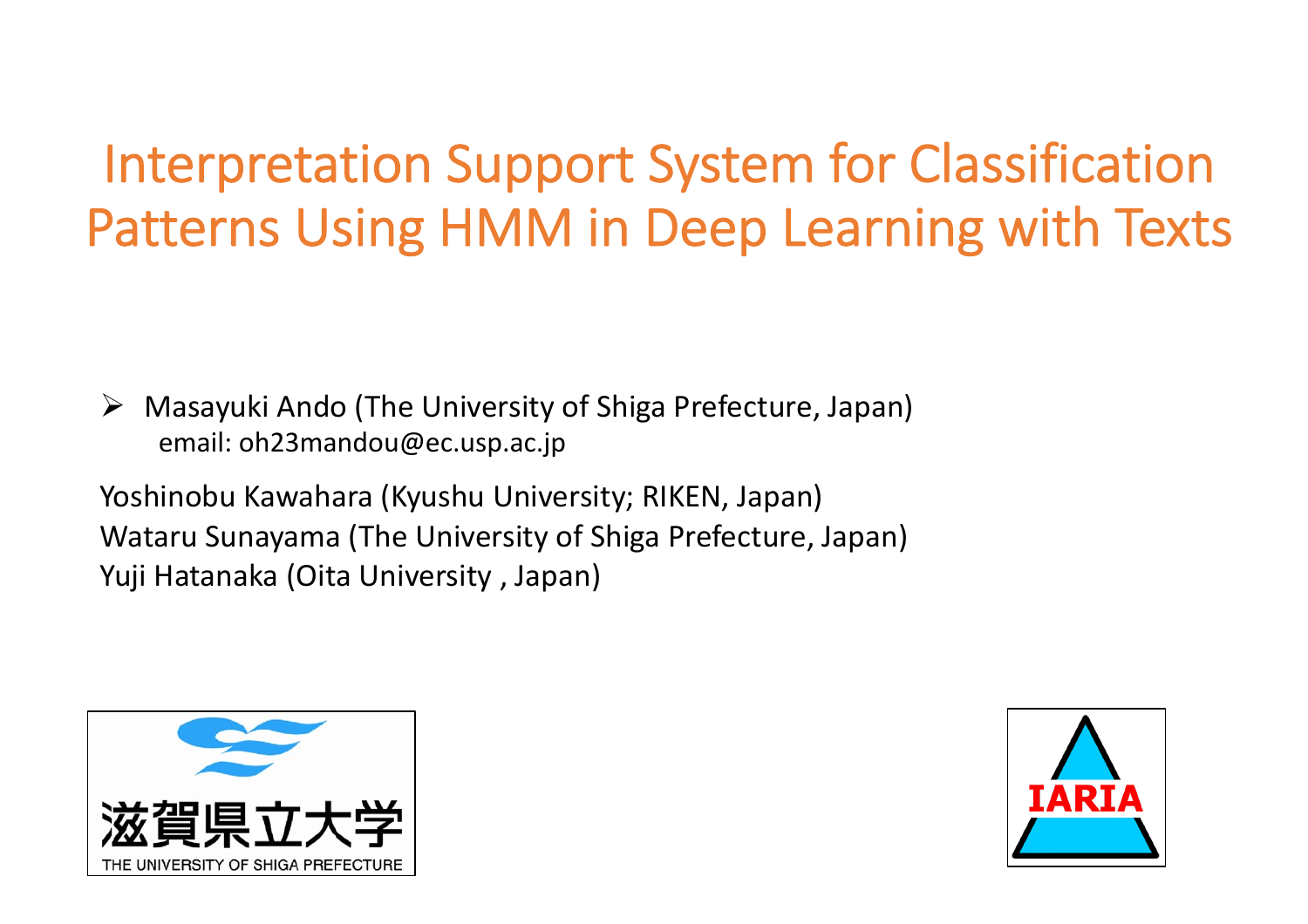# Interpretation Support System for Classification Patterns Using HMM in Deep Learning with Texts

 $\triangleright$  Masayuki Ando (The University of Shiga Prefecture, Japan) email: oh23mandou@ec.usp.ac.jp

Yoshinobu Kawahara (Kyushu University; RIKEN, Japan) Wataru Sunayama (The University of Shiga Prefecture, Japan) Yuji Hatanaka (Oita University , Japan)



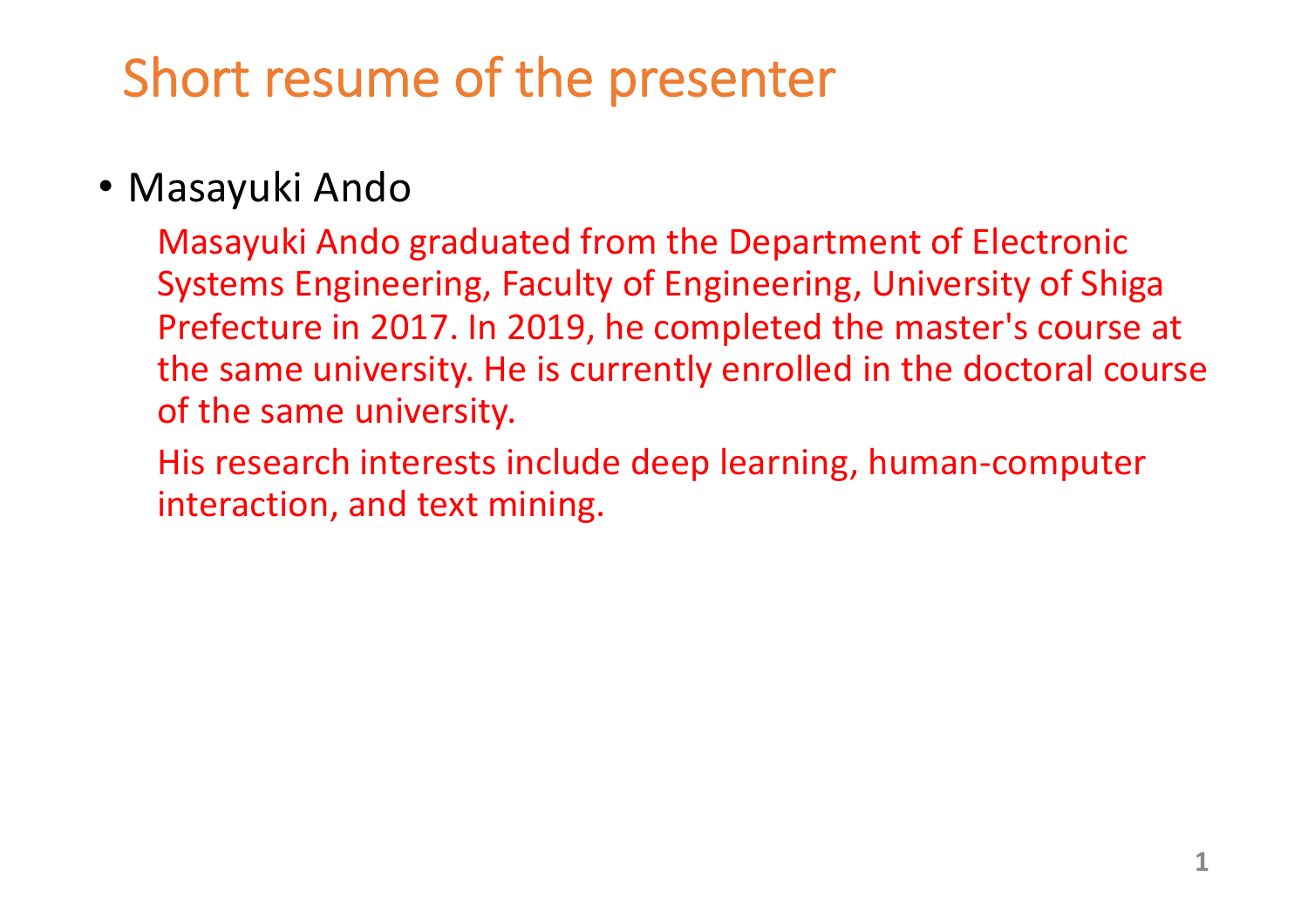# Short resume of the presenter

### • Masayuki Ando

Masayuki Ando graduated from the Department of Electronic Systems Engineering, Faculty of Engineering, University of Shiga Prefecture in 2017. In 2019, he completed the master's course at the same university. He is currently enrolled in the doctoral course of the same university.

His research interests include deep learning, human-computer interaction, and text mining.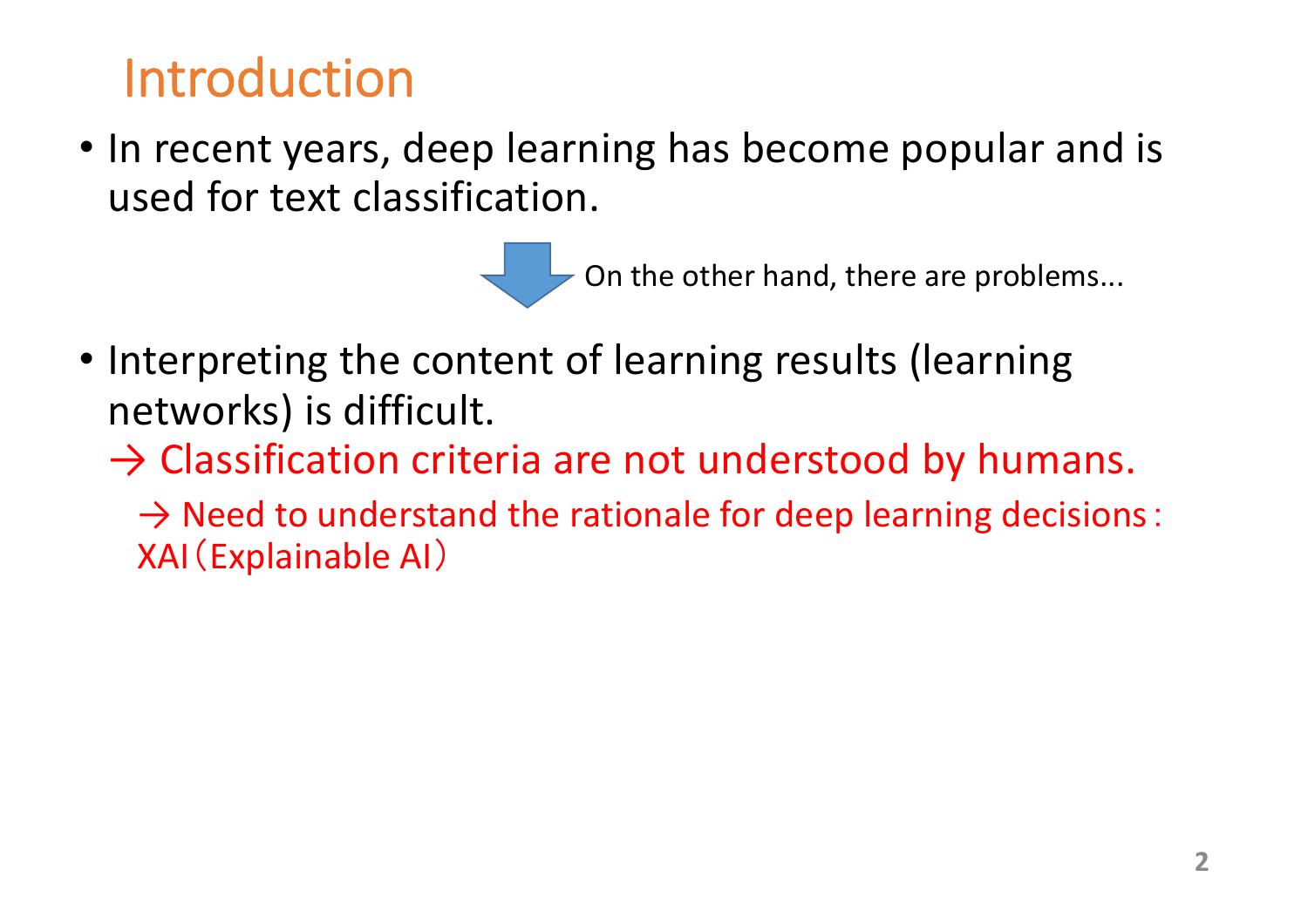# Introduction

• In recent years, deep learning has become popular and is used for text classification.

On the other hand, there are problems...

• Interpreting the content of learning results (learning networks) is difficult.

 $\rightarrow$  Classification criteria are not understood by humans.

 $\rightarrow$  Need to understand the rationale for deep learning decisions: XAI(Explainable AI)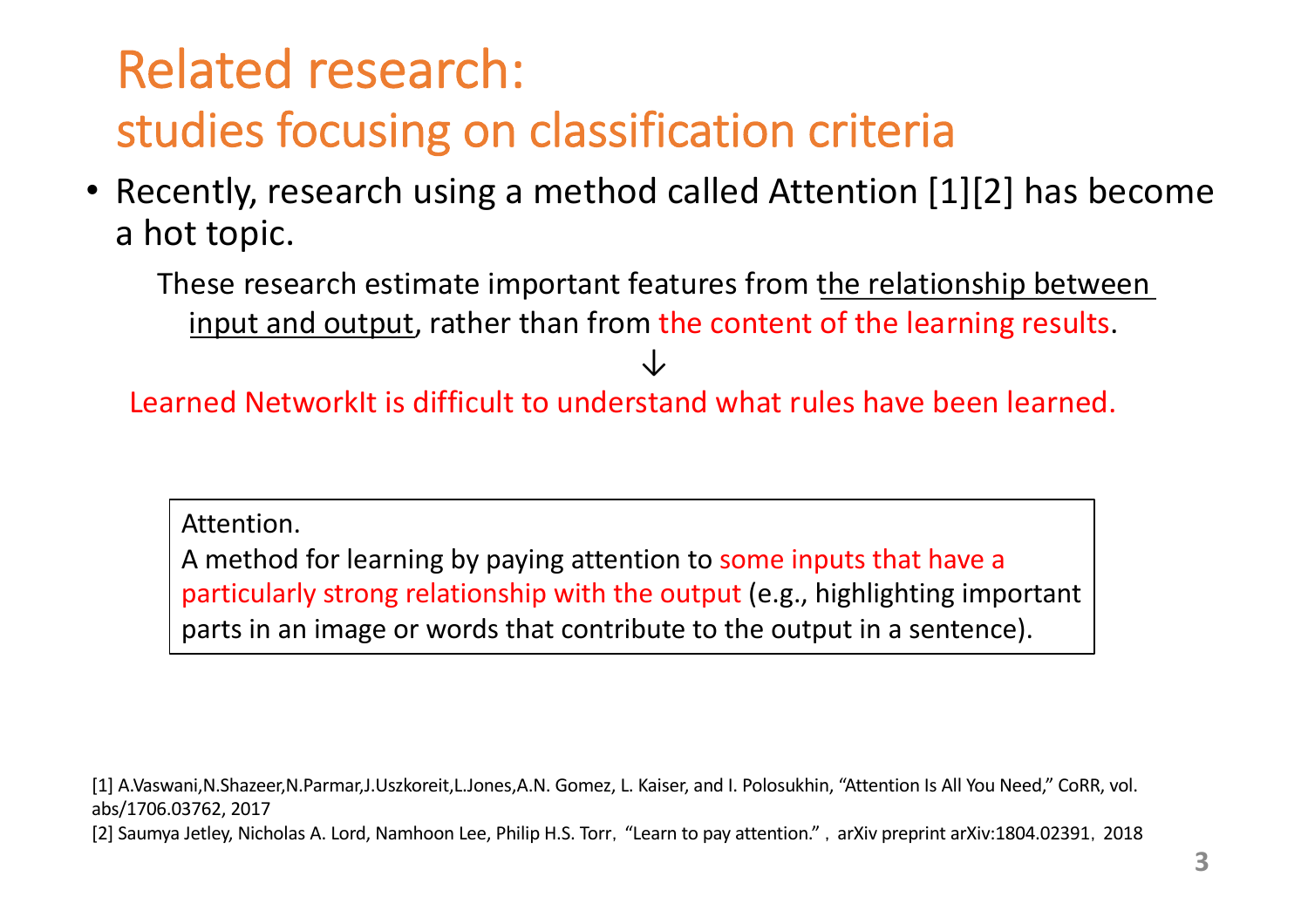# Related research: studies focusing on classification criteria

• Recently, research using a method called Attention [1][2] has become a hot topic.

These research estimate important features from the relationship between input and output, rather than from the content of the learning results.

↓

Learned NetworkIt is difficult to understand what rules have been learned.

Attention.

A method for learning by paying attention to some inputs that have a particularly strong relationship with the output (e.g., highlighting important parts in an image or words that contribute to the output in a sentence).

[1] A.Vaswani,N.Shazeer,N.Parmar,J.Uszkoreit,L.Jones,A.N. Gomez, L. Kaiser, and I. Polosukhin, "Attention Is All You Need," CoRR, vol. abs/1706.03762, 2017

[2] Saumya Jetley, Nicholas A. Lord, Namhoon Lee, Philip H.S. Torr, "Learn to pay attention.", arXiv preprint arXiv:1804.02391, 2018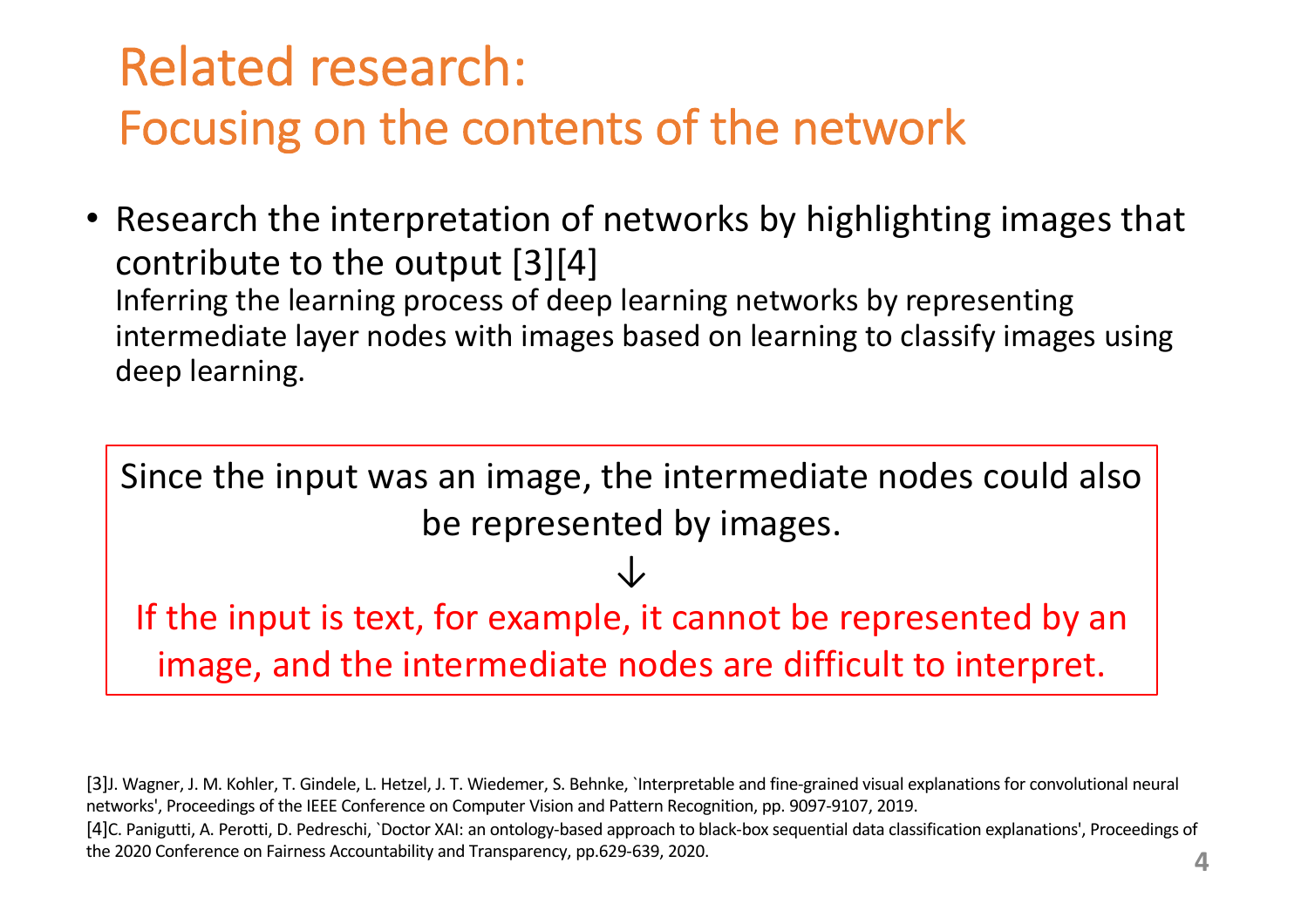# Related research: Focusing on the contents of the network

• Research the interpretation of networks by highlighting images that contribute to the output [3][4] Inferring the learning process of deep learning networks by representing intermediate layer nodes with images based on learning to classify images using deep learning.

Since the input was an image, the intermediate nodes could also be represented by images. ↓ If the input is text, for example, it cannot be represented by an

image, and the intermediate nodes are difficult to interpret.

[3]J. Wagner, J. M. Kohler, T. Gindele, L. Hetzel, J. T. Wiedemer, S. Behnke, `Interpretable and fine-grained visual explanations for convolutional neural networks', Proceedings of the IEEE Conference on Computer Vision and Pattern Recognition, pp. 9097-9107, 2019. [4]C. Panigutti, A. Perotti, D. Pedreschi, `Doctor XAI: an ontology-based approach to black-box sequential data classification explanations', Proceedings of the 2020 Conference on Fairness Accountability and Transparency, pp.629-639, 2020. **4**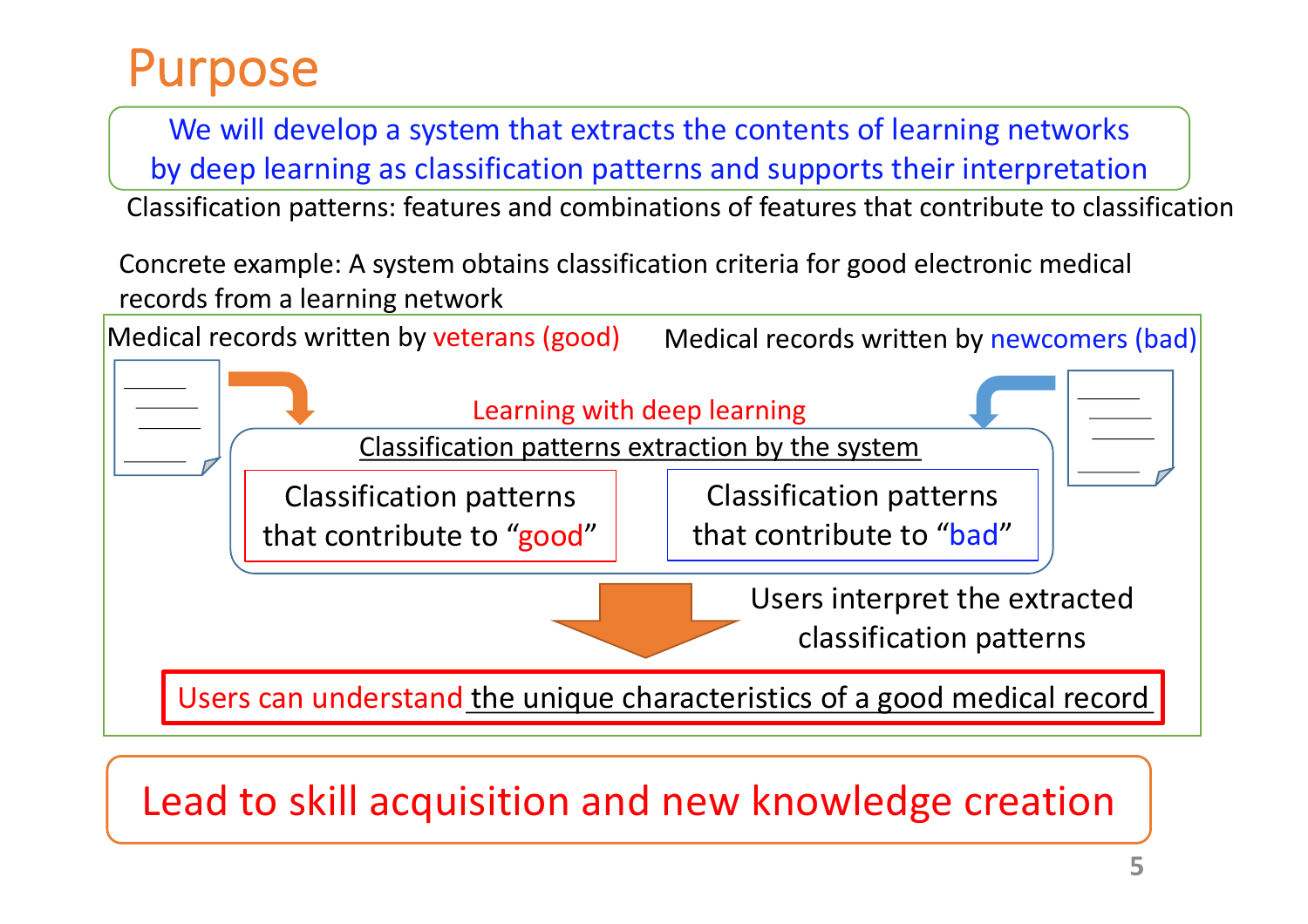## Purpose

We will develop a system that extracts the contents of learning networks by deep learning as classification patterns and supports their interpretation

Classification patterns: features and combinations of features that contribute to classification

Concrete example: A system obtains classification criteria for good electronic medical records from a learning network



Lead to skill acquisition and new knowledge creation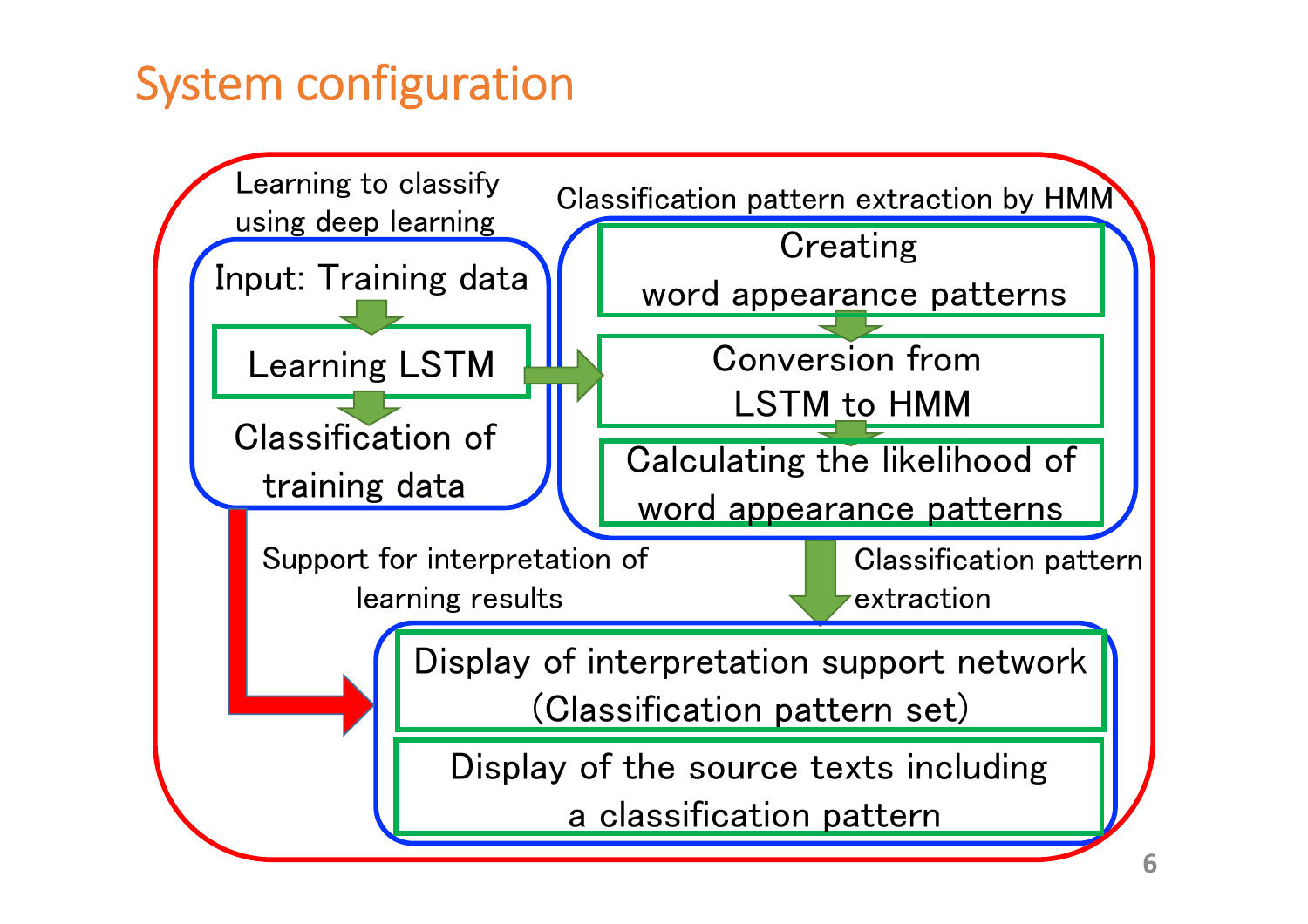## System configuration

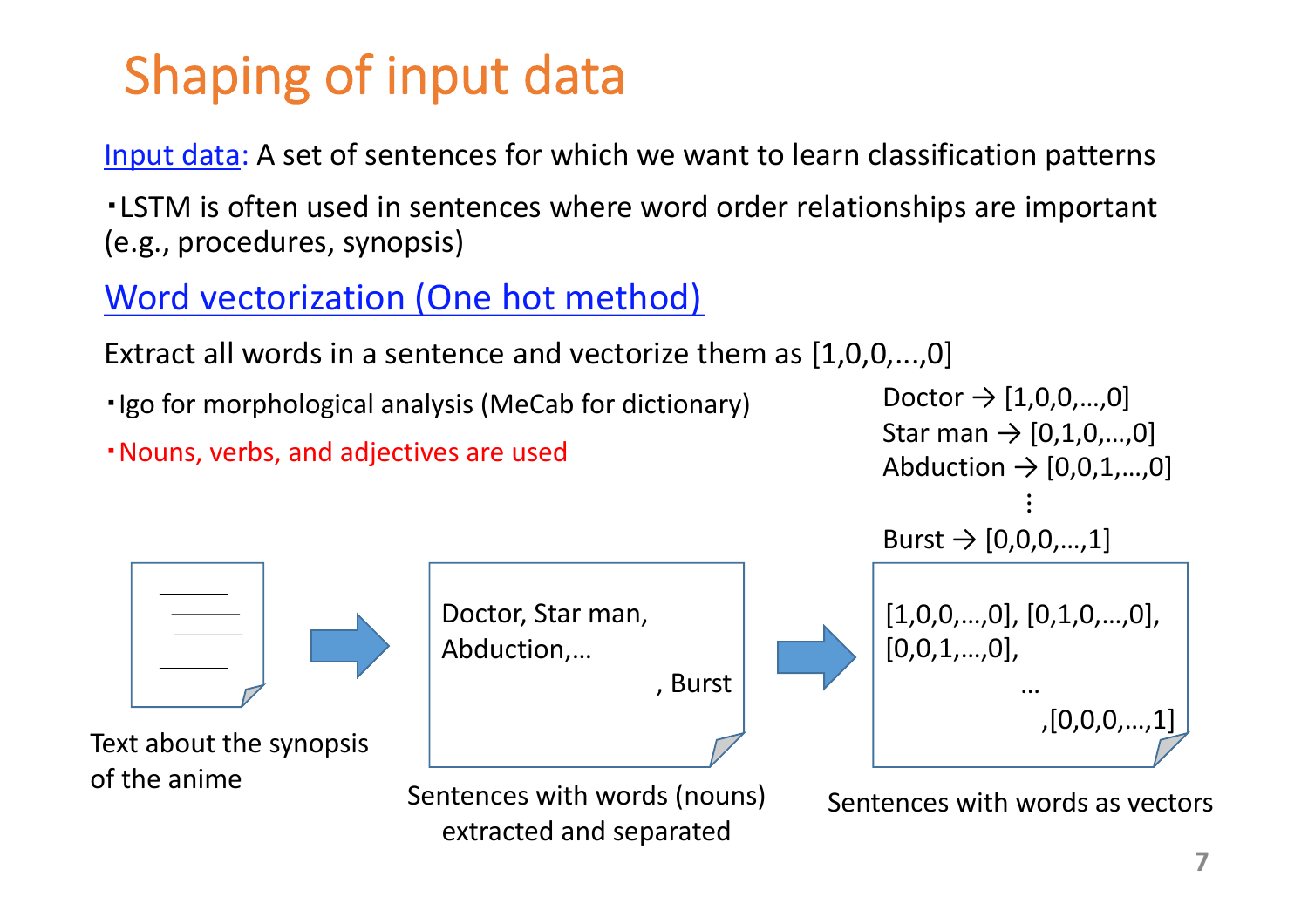# Shaping of input data

Input data: A set of sentences for which we want to learn classification patterns

・LSTM is often used in sentences where word order relationships are important (e.g., procedures, synopsis)

### Word vectorization (One hot method)

Extract all words in a sentence and vectorize them as [1,0,0,...,0]

・Igo for morphological analysis (MeCab for dictionary)

・Nouns, verbs, and adjectives are used



Text about the synopsis of the anime





Sentences with words as vectors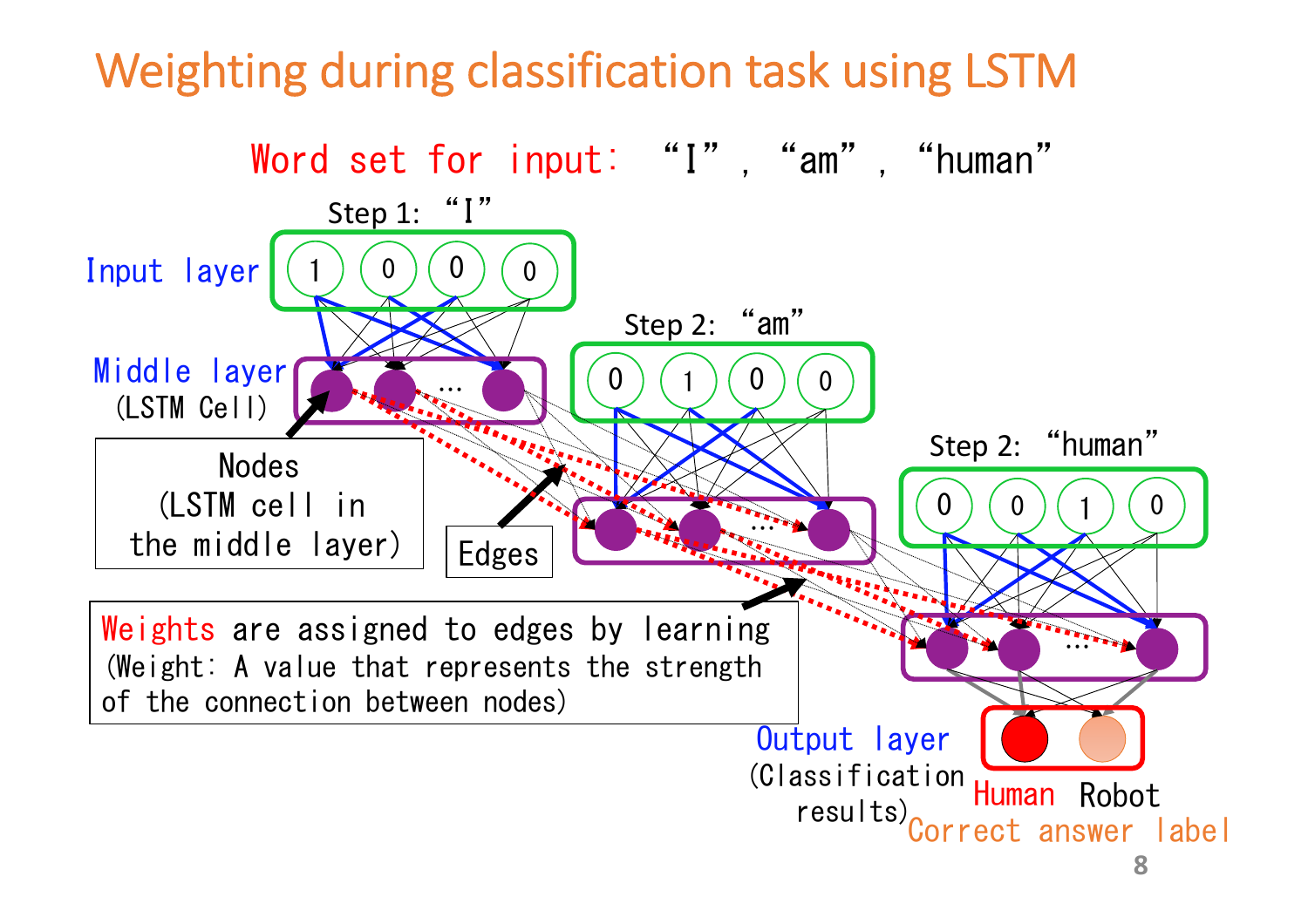## Weighting during classification task using LSTM

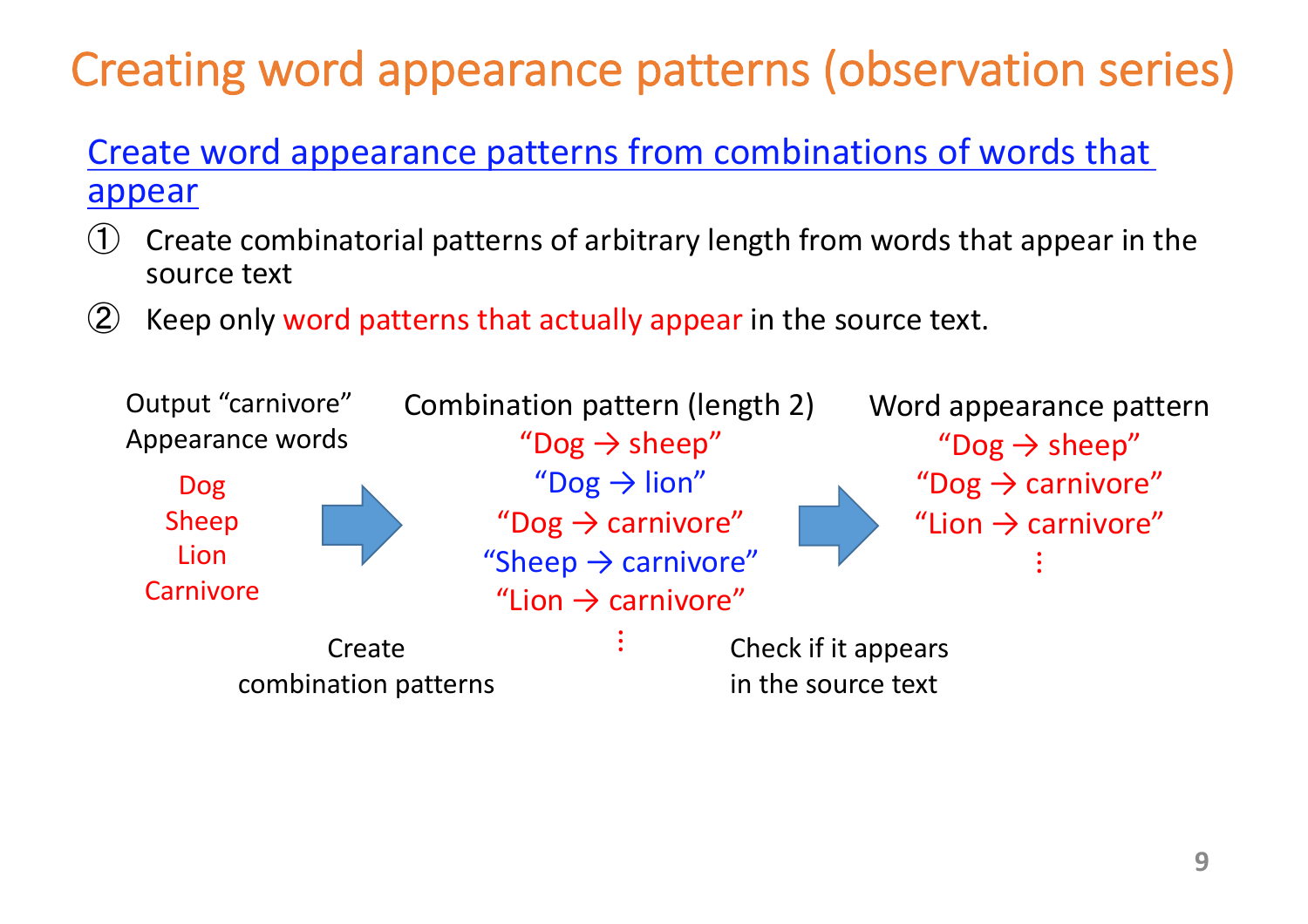# Creating word appearance patterns (observation series)

#### Create word appearance patterns from combinations of words that appear

- Create combinatorial patterns of arbitrary length from words that appear in the source text
- ② Keep only word patterns that actually appear in the source text.

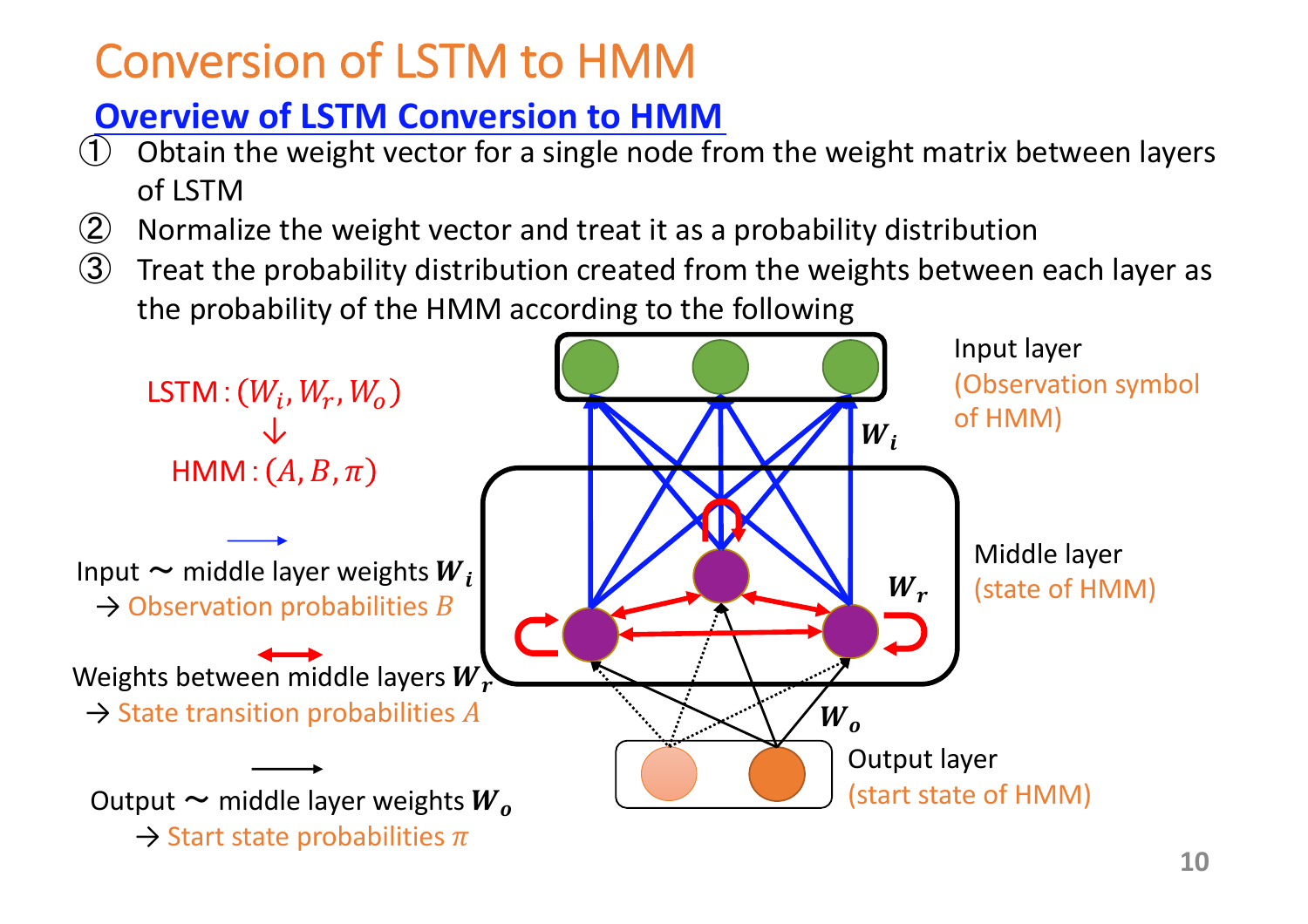## Conversion of LSTM to HMM

### **Overview of LSTM Conversion to HMM**

- Obtain the weight vector for a single node from the weight matrix between layers of LSTM
- ② Normalize the weight vector and treat it as a probability distribution
- $\circled{3}$  Treat the probability distribution created from the weights between each layer as the probability of the HMM according to the following

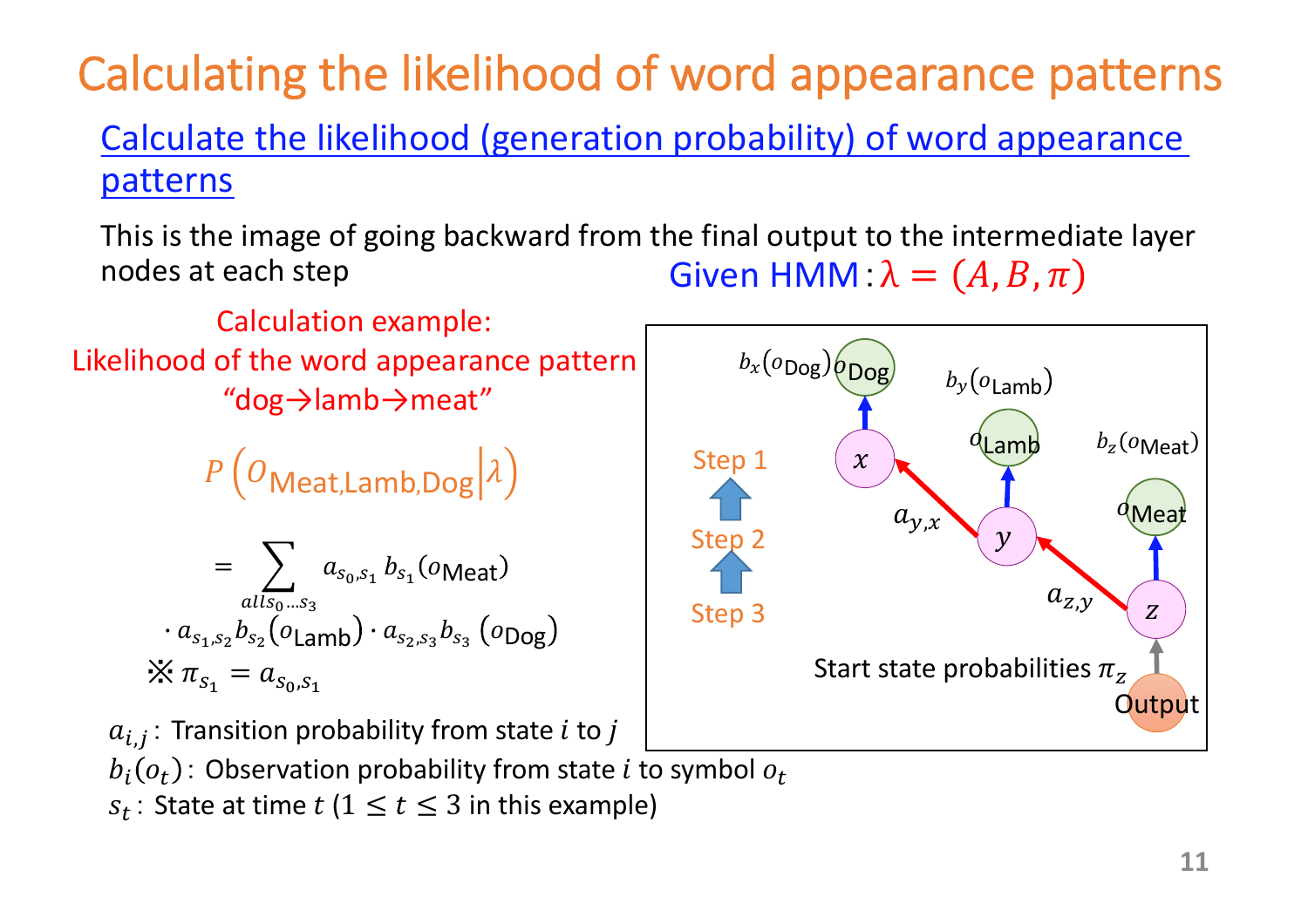## Calculating the likelihood of word appearance patterns Calculate the likelihood (generation probability) of word appearance

#### patterns

This is the image of going backward from the final output to the intermediate layer nodes at each step Given HMM:  $\lambda = (A, B, \pi)$ 

Calculation example: Likelihood of the word appearance pattern "dog→lamb→meat"

 $P\left(O_{\text{Meat},\text{Lamb},\text{Dog}}|\lambda\right)$ 

$$
= \sum_{all s_0...s_3} a_{s_0,s_1} b_{s_1}(o_{\text{Meat}})
$$

$$
\cdot a_{s_1,s_2} b_{s_2}(o_{\text{Lamb}}) \cdot a_{s_2,s_3} b_{s_3}(o_{\text{Dog}})
$$

$$
\times \pi_{s_1} = a_{s_0,s_1}
$$

 $a_{i,j}$ : Transition probability from state *i* to *j* 

 $b_i(o_t)$ : Observation probability from state *i* to symbol  $o_t$ 

 $s_t$ : State at time  $t$  (1  $\leq$   $t \leq$  3 in this example)

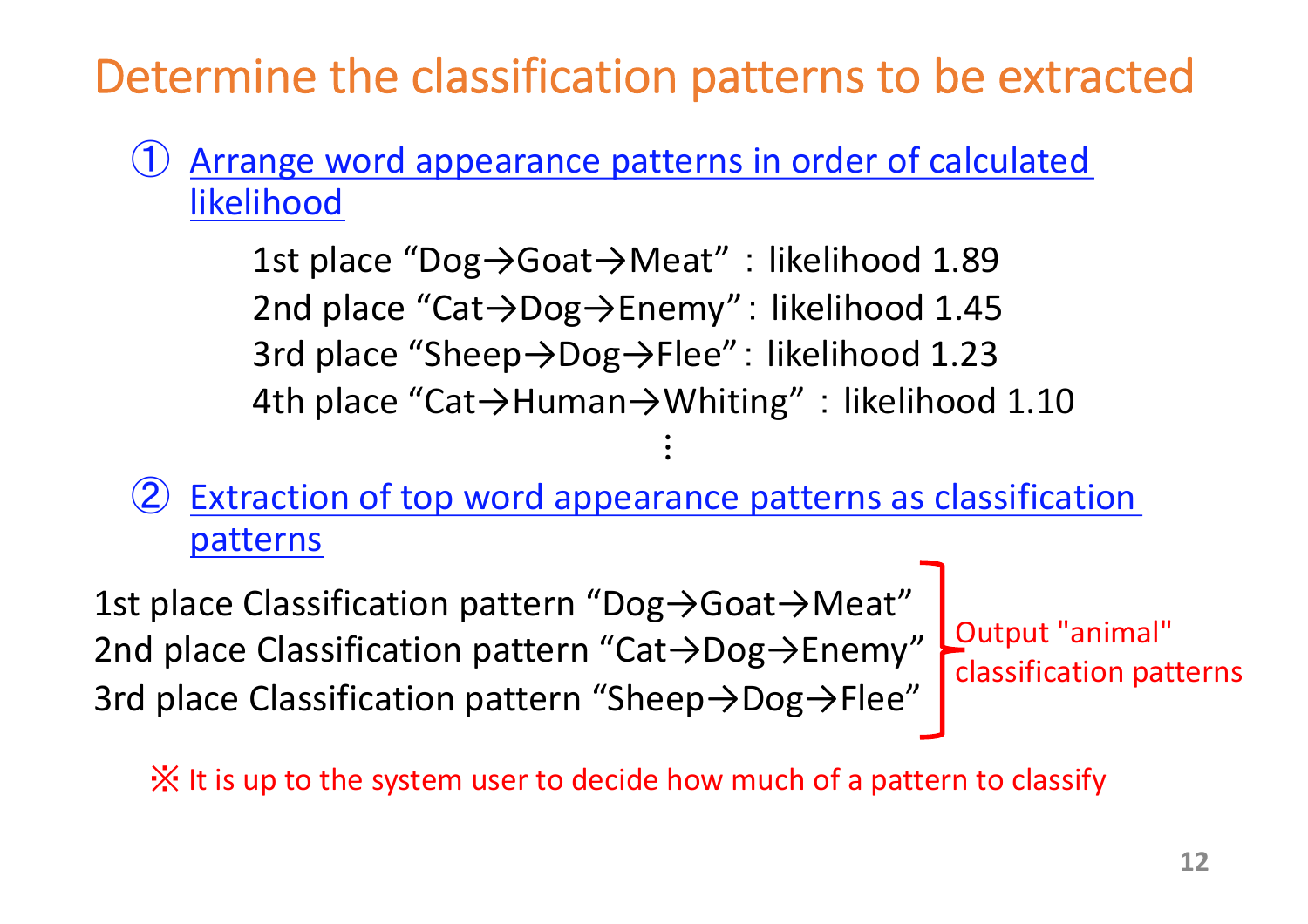## Determine the classification patterns to be extracted

### ① Arrange word appearance patterns in order of calculated likelihood

1st place "Dog→Goat→Meat" : likelihood 1.89 2nd place "Cat→Dog→Enemy": likelihood 1.45 3rd place "Sheep→Dog→Flee": likelihood 1.23 4th place "Cat→Human→Whiting" : likelihood 1.10  $\ddot{\bullet}$ 

### Extraction of top word appearance patterns as classification patterns

1st place Classification pattern "Dog→Goat→Meat" 2nd place Classification pattern "Cat→Dog→Enemy" 3rd place Classification pattern "Sheep→Dog→Flee"

Output "animal" classification patterns

※ It is up to the system user to decide how much of a pattern to classify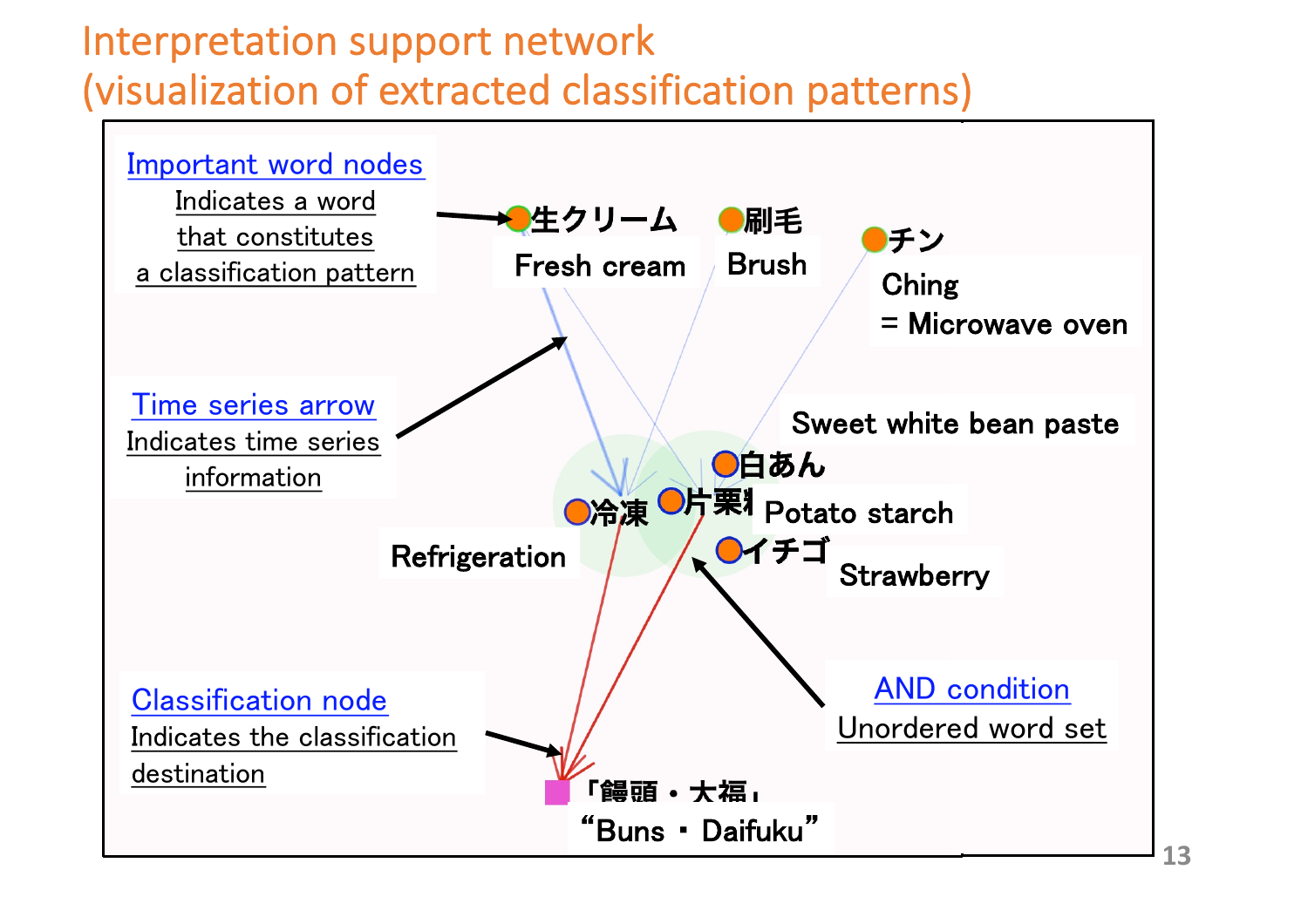### Interpretation support network (visualization of extracted classification patterns)

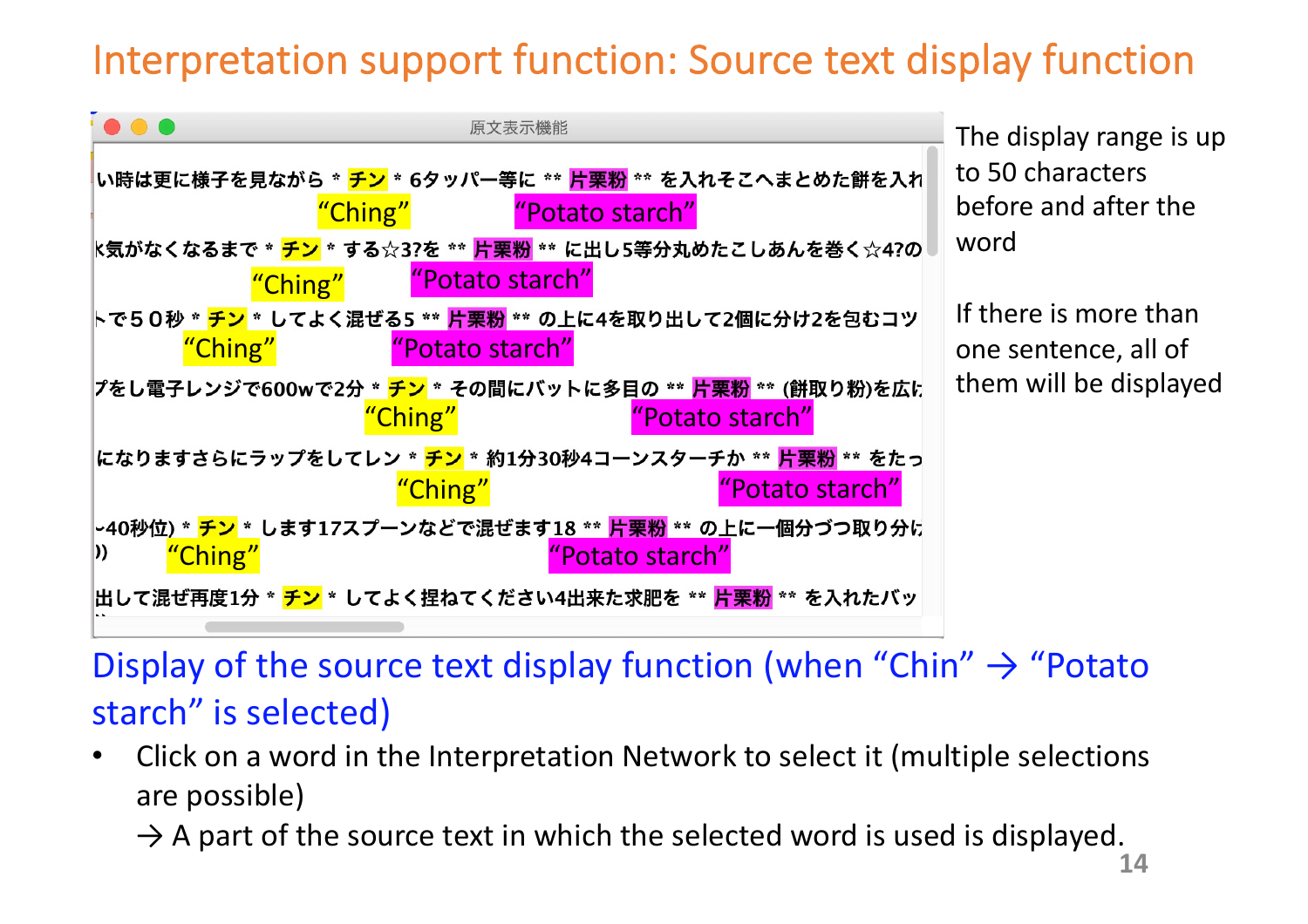### Interpretation support function: Source text display function



### Display of the source text display function (when "Chin"  $\rightarrow$  "Potato" starch" is selected)

• Click on a word in the Interpretation Network to select it (multiple selections are possible)

 $\rightarrow$  A part of the source text in which the selected word is used is displayed.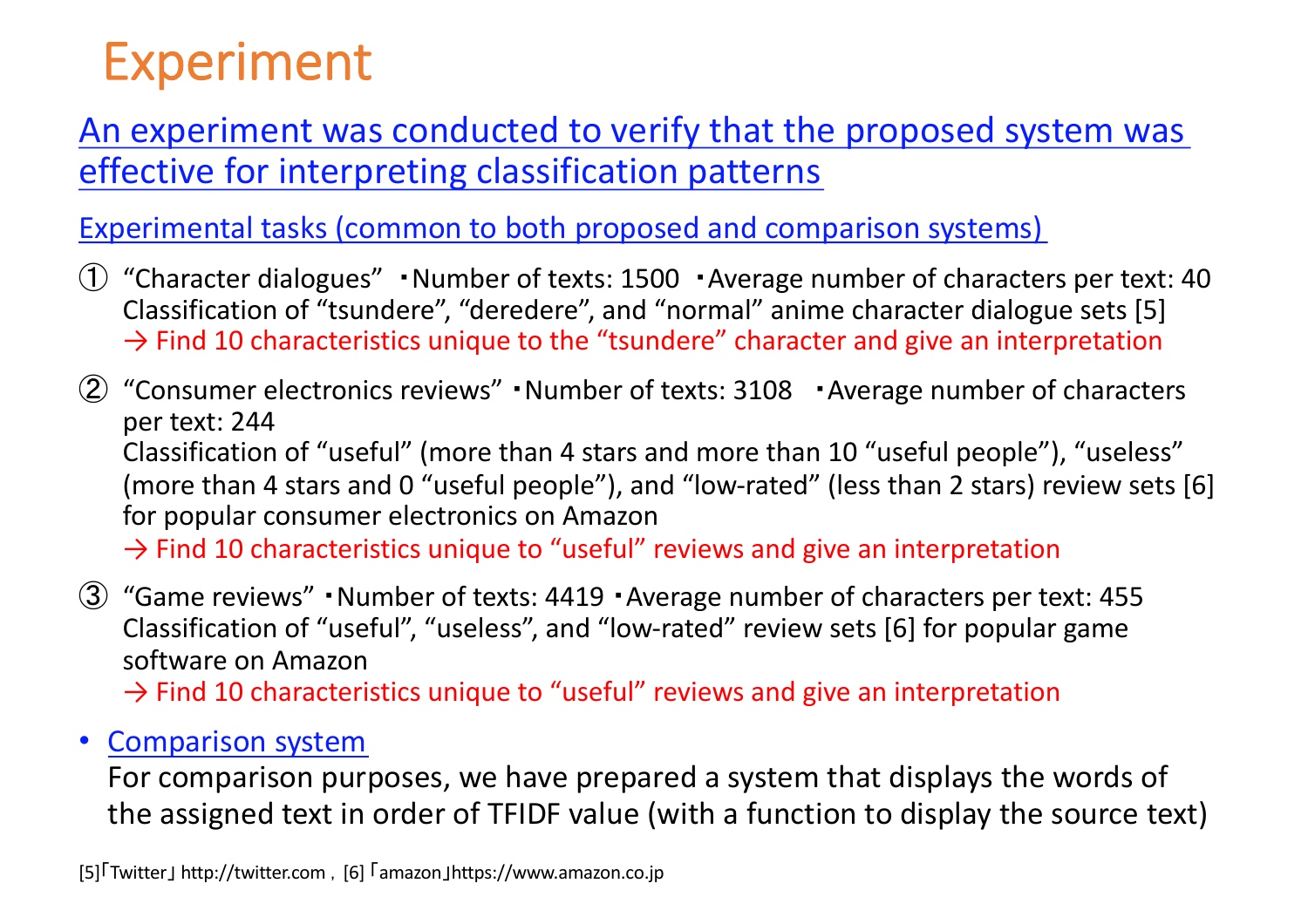# Experiment

#### An experiment was conducted to verify that the proposed system was effective for interpreting classification patterns

Experimental tasks (common to both proposed and comparison systems)

- ① "Character dialogues" ・Number of texts: 1500 ・Average number of characters per text: 40 Classification of "tsundere", "deredere", and "normal" anime character dialogue sets [5]  $\rightarrow$  Find 10 characteristics unique to the "tsundere" character and give an interpretation
- ② "Consumer electronics reviews" ・Number of texts: 3108 ・Average number of characters per text: 244 Classification of "useful" (more than 4 stars and more than 10 "useful people"), "useless" (more than 4 stars and 0 "useful people"), and "low-rated" (less than 2 stars) review sets [6] for popular consumer electronics on Amazon  $\rightarrow$  Find 10 characteristics unique to "useful" reviews and give an interpretation

③ "Game reviews" ・Number of texts: 4419 ・Average number of characters per text: 455 Classification of "useful", "useless", and "low-rated" review sets [6] for popular game software on Amazon

 $\rightarrow$  Find 10 characteristics unique to "useful" reviews and give an interpretation

#### • Comparison system

For comparison purposes, we have prepared a system that displays the words of the assigned text in order of TFIDF value (with a function to display the source text)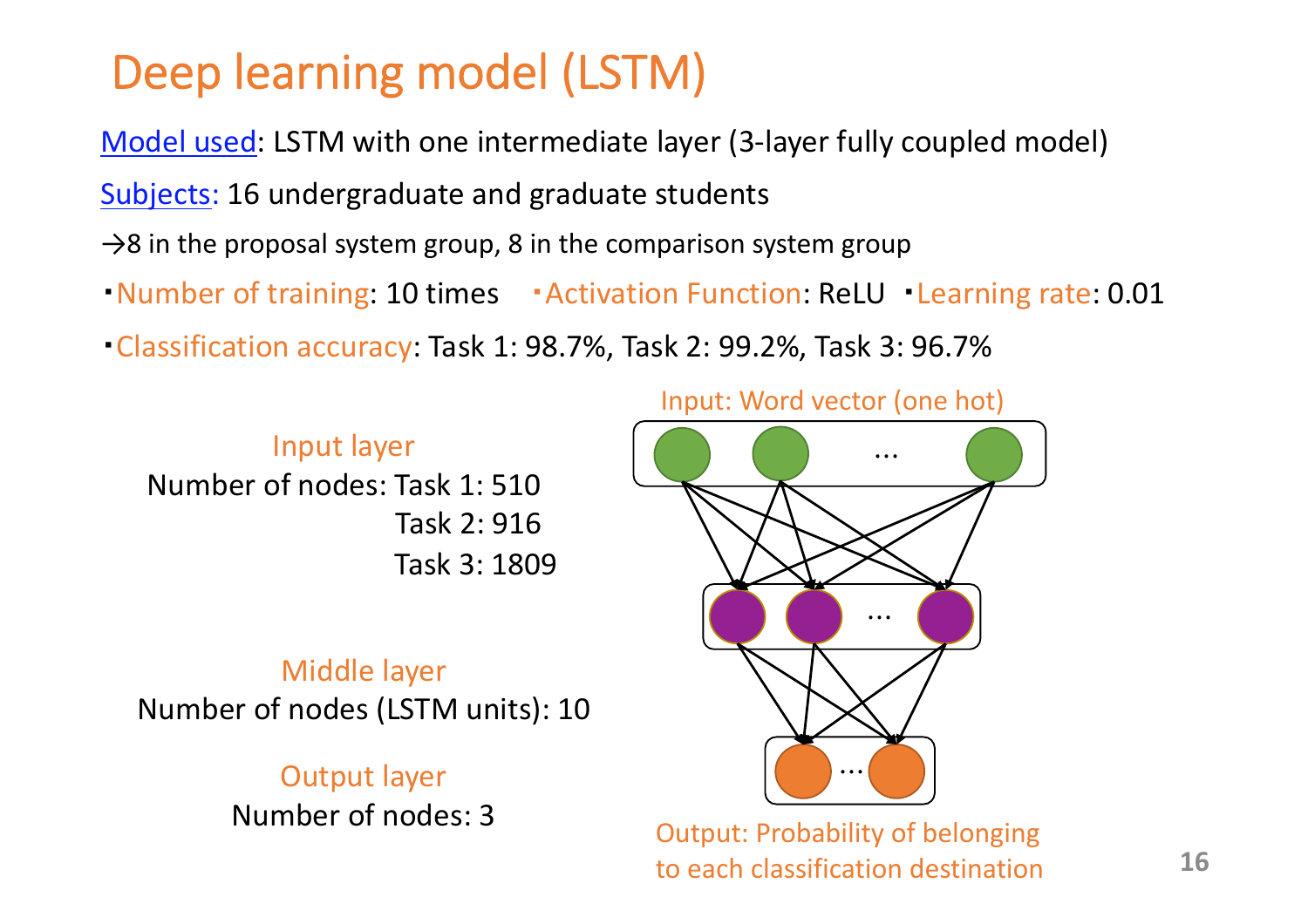## Deep learning model (LSTM)

Model used: LSTM with one intermediate layer (3-layer fully coupled model)

Subjects: 16 undergraduate and graduate students

- $\rightarrow$ 8 in the proposal system group, 8 in the comparison system group
- Number of training: 10 times Activation Function: ReLU Learning rate: 0.01
- ・Classification accuracy: Task 1: 98.7%, Task 2: 99.2%, Task 3: 96.7%

#### Input layer Number of nodes: Task 1: 510 Task 2: 916 Task 3: 1809

#### Middle layer Number of nodes (LSTM units): 10

#### Output layer Number of nodes: 3

#### Input: Word vector (one hot)



Output: Probability of belonging to each classification destination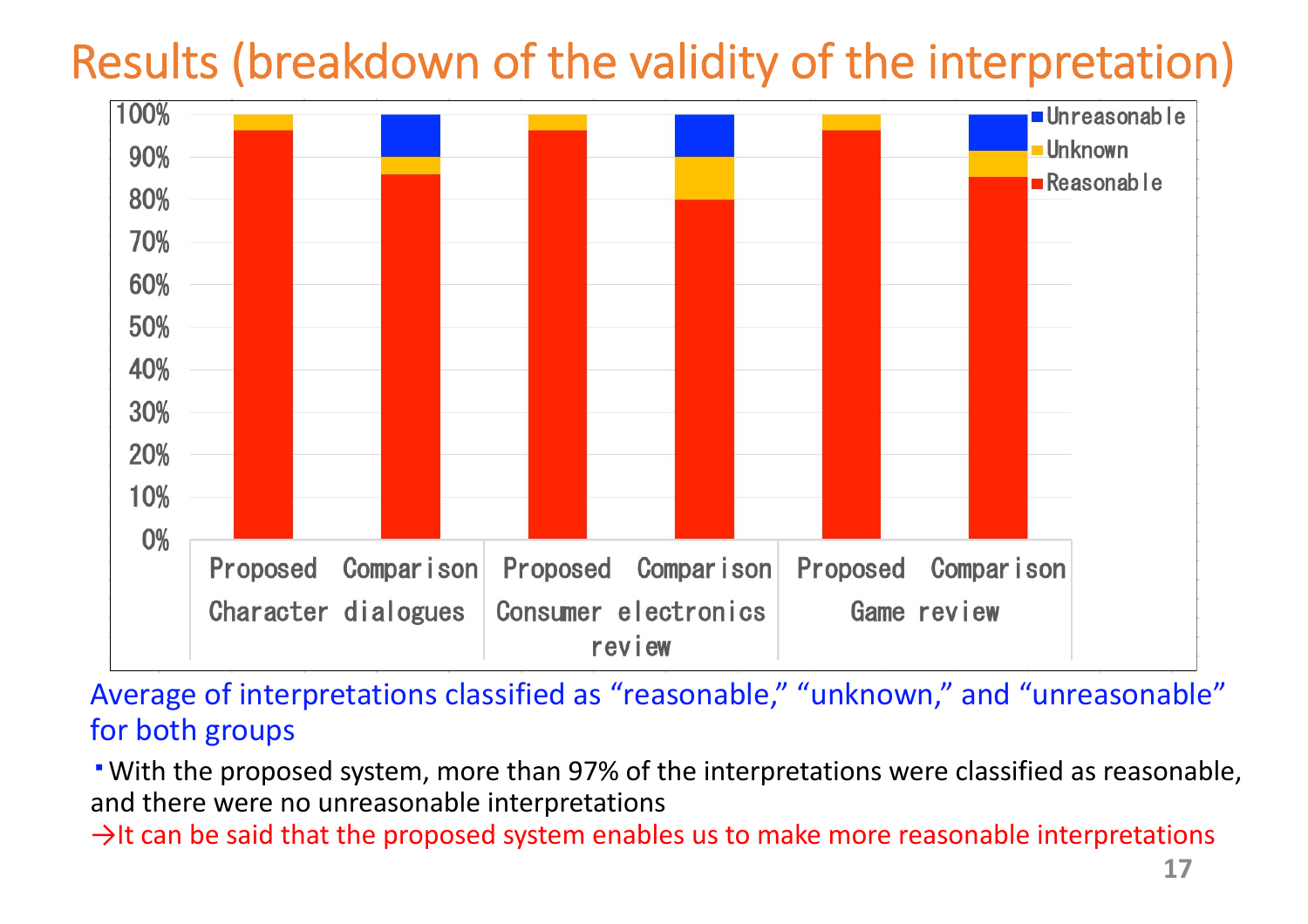# Results (breakdown of the validity of the interpretation)



Average of interpretations classified as "reasonable," "unknown," and "unreasonable" for both groups

・With the proposed system, more than 97% of the interpretations were classified as reasonable, and there were no unreasonable interpretations

 $\rightarrow$ It can be said that the proposed system enables us to make more reasonable interpretations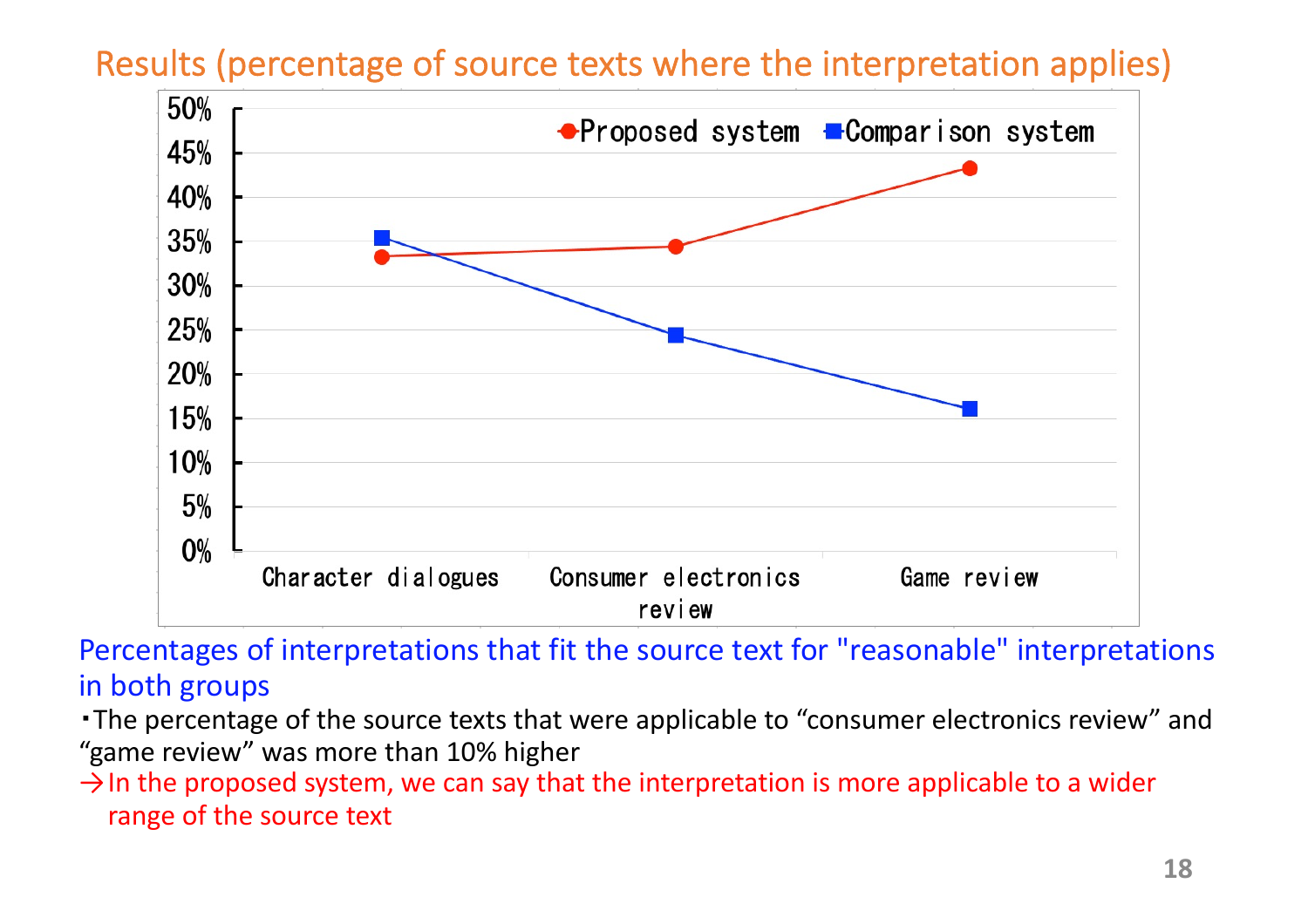#### Results (percentage of source texts where the interpretation applies)



Percentages of interpretations that fit the source text for "reasonable" interpretations in both groups

・The percentage of the source texts that were applicable to "consumer electronics review" and "game review" was more than 10% higher

 $\rightarrow$  In the proposed system, we can say that the interpretation is more applicable to a wider range of the source text